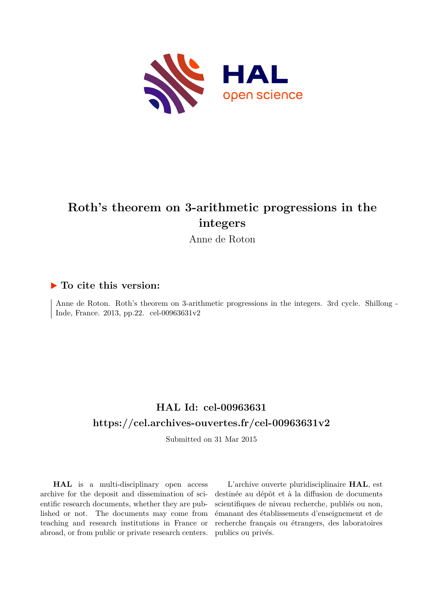

## **Roth's theorem on 3-arithmetic progressions in the integers**

Anne de Roton

### **To cite this version:**

Anne de Roton. Roth's theorem on 3-arithmetic progressions in the integers. 3rd cycle. Shillong - Inde, France. 2013, pp.22. cel-00963631v2

### **HAL Id: cel-00963631 <https://cel.archives-ouvertes.fr/cel-00963631v2>**

Submitted on 31 Mar 2015

**HAL** is a multi-disciplinary open access archive for the deposit and dissemination of scientific research documents, whether they are published or not. The documents may come from teaching and research institutions in France or abroad, or from public or private research centers.

L'archive ouverte pluridisciplinaire **HAL**, est destinée au dépôt et à la diffusion de documents scientifiques de niveau recherche, publiés ou non, émanant des établissements d'enseignement et de recherche français ou étrangers, des laboratoires publics ou privés.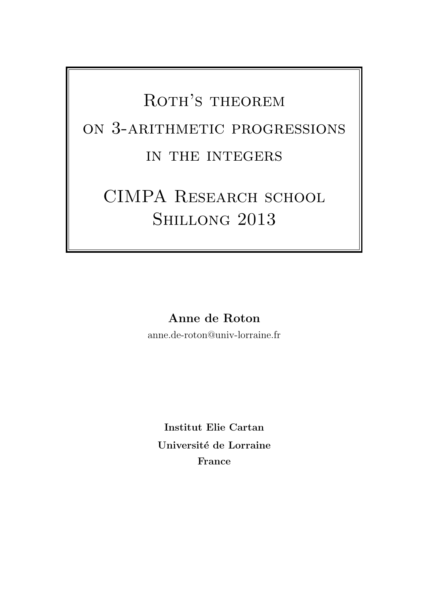# ROTH'S THEOREM on 3-arithmetic progressions in the integers

# CIMPA RESEARCH SCHOOL SHILLONG 2013

Anne de Roton

anne.de-roton@univ-lorraine.fr

Institut Elie Cartan Université de Lorraine France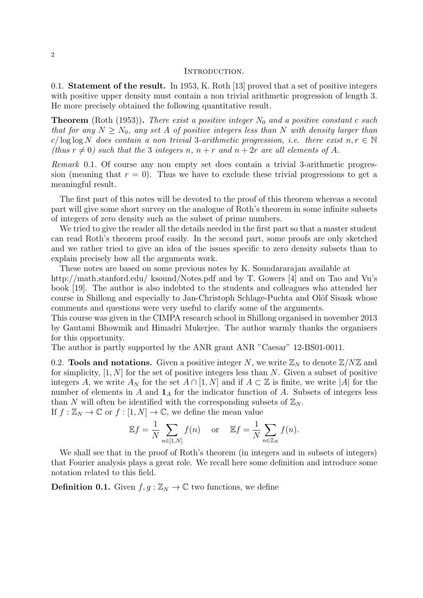#### INTRODUCTION.

0.1. Statement of the result. In 1953, K. Roth [13] proved that a set of positive integers with positive upper density must contain a non trivial arithmetic progression of length 3. He more precisely obtained the following quantitative result.

**Theorem** (Roth (1953)). There exist a positive integer  $N_0$  and a positive constant c such that for any  $N \geq N_0$ , any set A of positive integers less than N with density larger than c/ log log N does contain a non trivial 3-arithmetic progression, i.e. there exist  $n, r \in \mathbb{N}$ (thus  $r \neq 0$ ) such that the 3 integers n,  $n + r$  and  $n + 2r$  are all elements of A.

Remark 0.1. Of course any non empty set does contain a trivial 3-arithmetic progression (meaning that  $r = 0$ ). Thus we have to exclude these trivial progressions to get a meaningful result.

The first part of this notes will be devoted to the proof of this theorem whereas a second part will give some short survey on the analogue of Roth's theorem in some infinite subsets of integers of zero density such as the subset of prime numbers.

We tried to give the reader all the details needed in the first part so that a master student can read Roth's theorem proof easily. In the second part, some proofs are only sketched and we rather tried to give an idea of the issues specific to zero density subsets than to explain precisely how all the arguments work.

These notes are based on some previous notes by K. Soundararajan available at http://math.stanford.edu/ ksound/Notes.pdf and by T. Gowers [4] and on Tao and Vu's book [19]. The author is also indebted to the students and colleagues who attended her course in Shillong and especially to Jan-Christoph Schlage-Puchta and Olöf Sisask whose comments and questions were very useful to clarify some of the arguments.

This course was given in the CIMPA research school in Shillong organised in november 2013 by Gautami Bhowmik and Himadri Mukerjee. The author warmly thanks the organisers for this opportunity.

The author is partly supported by the ANR grant ANR "Caesar" 12-BS01-0011.

0.2. Tools and notations. Given a positive integer N, we write  $\mathbb{Z}_N$  to denote  $\mathbb{Z}/N\mathbb{Z}$  and for simplicity,  $[1, N]$  for the set of positive integers less than N. Given a subset of positive integers A, we write  $A_N$  for the set  $A \cap [1, N]$  and if  $A \subset \mathbb{Z}$  is finite, we write |A| for the number of elements in A and  $\mathbf{1}_A$  for the indicator function of A. Subsets of integers less than N will often be identified with the corresponding subsets of  $\mathbb{Z}_N$ .

If  $f : \mathbb{Z}_N \to \mathbb{C}$  or  $f : [1, N] \to \mathbb{C}$ , we define the mean value

$$
\mathbb{E}f = \frac{1}{N} \sum_{n \in [1,N]} f(n) \quad \text{or} \quad \mathbb{E}f = \frac{1}{N} \sum_{n \in \mathbb{Z}_N} f(n).
$$

We shall see that in the proof of Roth's theorem (in integers and in subsets of integers) that Fourier analysis plays a great role. We recall here some definition and introduce some notation related to this field.

**Definition 0.1.** Given  $f, g : \mathbb{Z}_N \to \mathbb{C}$  two functions, we define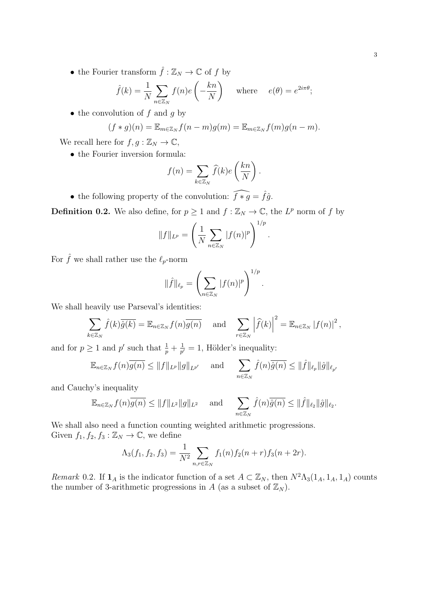$\bullet$  the Fourier transform  $\hat{f}:\mathbb{Z}_N\rightarrow \mathbb{C}$  of  $f$  by

$$
\hat{f}(k) = \frac{1}{N} \sum_{n \in \mathbb{Z}_N} f(n) e\left(-\frac{kn}{N}\right)
$$
 where  $e(\theta) = e^{2i\pi\theta}$ ;

• the convolution of  $f$  and  $q$  by

$$
(f * g)(n) = \mathbb{E}_{m \in \mathbb{Z}_N} f(n-m)g(m) = \mathbb{E}_{m \in \mathbb{Z}_N} f(m)g(n-m).
$$

We recall here for  $f, g : \mathbb{Z}_N \to \mathbb{C}$ ,

• the Fourier inversion formula:

$$
f(n) = \sum_{k \in \mathbb{Z}_N} \widehat{f}(k) e\left(\frac{kn}{N}\right).
$$

• the following property of the convolution:  $\widehat{f * g} = \widehat{f}\widehat{g}$ .

**Definition 0.2.** We also define, for  $p \ge 1$  and  $f : \mathbb{Z}_N \to \mathbb{C}$ , the  $L^p$  norm of f by

$$
||f||_{L^{p}} = \left(\frac{1}{N} \sum_{n \in \mathbb{Z}_N} |f(n)|^{p}\right)^{1/p}.
$$

For  $\hat{f}$  we shall rather use the  $\ell_p$ -norm

$$
\|\hat{f}\|_{\ell_p} = \left(\sum_{n \in \mathbb{Z}_N} |f(n)|^p\right)^{1/p}
$$

.

We shall heavily use Parseval's identities:

$$
\sum_{k \in \mathbb{Z}_N} \hat{f}(k)\overline{\hat{g}(k)} = \mathbb{E}_{n \in \mathbb{Z}_N} f(n)\overline{g(n)} \quad \text{and} \quad \sum_{r \in \mathbb{Z}_N} \left| \widehat{f}(k) \right|^2 = \mathbb{E}_{n \in \mathbb{Z}_N} |f(n)|^2,
$$

and for  $p \geq 1$  and p' such that  $\frac{1}{p} + \frac{1}{p}$  $\frac{1}{p'}=1$ , Hölder's inequality:

$$
\mathbb{E}_{n\in\mathbb{Z}_N}f(n)\overline{g(n)} \le ||f||_{L^p}||g||_{L^{p'}} \quad \text{and} \quad \sum_{n\in\mathbb{Z}_N} \hat{f}(n)\overline{\hat{g}(n)} \le ||\hat{f}||_{\ell_p}||\hat{g}||_{\ell_{p'}}
$$

and Cauchy's inequality

$$
\mathbb{E}_{n\in\mathbb{Z}_N}f(n)\overline{g(n)} \le ||f||_{L^2}||g||_{L^2} \quad \text{and} \quad \sum_{n\in\mathbb{Z}_N} \widehat{f}(n)\overline{\widehat{g}(n)} \le ||\widehat{f}||_{\ell_2}||\widehat{g}||_{\ell_2}.
$$

We shall also need a function counting weighted arithmetic progressions. Given  $f_1, f_2, f_3 : \mathbb{Z}_N \to \mathbb{C}$ , we define

$$
\Lambda_3(f_1, f_2, f_3) = \frac{1}{N^2} \sum_{n, r \in \mathbb{Z}_N} f_1(n) f_2(n+r) f_3(n+2r).
$$

Remark 0.2. If  $\mathbf{1}_A$  is the indicator function of a set  $A \subset \mathbb{Z}_N$ , then  $N^2\Lambda_3(\mathbf{1}_A, \mathbf{1}_A, \mathbf{1}_A)$  counts the number of 3-arithmetic progressions in A (as a subset of  $\mathbb{Z}_N$ ).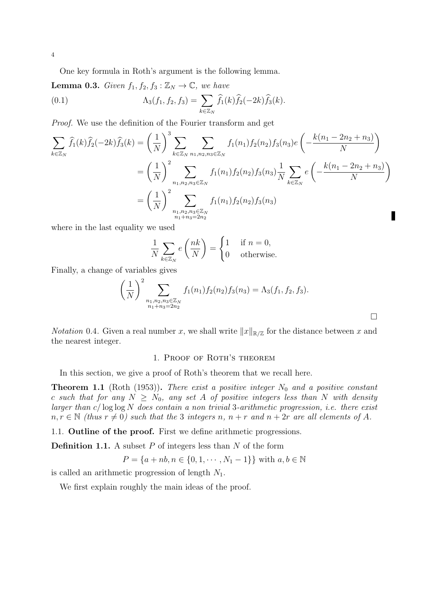One key formula in Roth's argument is the following lemma.

**Lemma 0.3.** Given  $f_1, f_2, f_3 : \mathbb{Z}_N \to \mathbb{C}$ , we have (0.1)  $\Lambda_3(f_1, f_2, f_3) = \sum$  $k\in\mathbb{Z}_N$  $f_1(k)f_2(-2k)f_3(k).$ 

Proof. We use the definition of the Fourier transform and get

$$
\sum_{k \in \mathbb{Z}_N} \hat{f}_1(k)\hat{f}_2(-2k)\hat{f}_3(k) = \left(\frac{1}{N}\right)^3 \sum_{k \in \mathbb{Z}_N} \sum_{n_1, n_2, n_3 \in \mathbb{Z}_N} f_1(n_1) f_2(n_2) f_3(n_3) e\left(-\frac{k(n_1 - 2n_2 + n_3)}{N}\right)
$$
  

$$
= \left(\frac{1}{N}\right)^2 \sum_{\substack{n_1, n_2, n_3 \in \mathbb{Z}_N \\ n_1 + n_3 = 2n_2}} f_1(n_1) f_2(n_2) f_3(n_3) \frac{1}{N} \sum_{k \in \mathbb{Z}_N} e\left(-\frac{k(n_1 - 2n_2 + n_3)}{N}\right)
$$
  

$$
= \left(\frac{1}{N}\right)^2 \sum_{\substack{n_1, n_2, n_3 \in \mathbb{Z}_N \\ n_1 + n_3 = 2n_2}} f_1(n_1) f_2(n_2) f_3(n_3)
$$

where in the last equality we used

$$
\frac{1}{N} \sum_{k \in \mathbb{Z}_N} e\left(\frac{nk}{N}\right) = \begin{cases} 1 & \text{if } n = 0, \\ 0 & \text{otherwise.} \end{cases}
$$

Finally, a change of variables gives

$$
\left(\frac{1}{N}\right)^2 \sum_{\substack{n_1, n_2, n_3 \in \mathbb{Z}_N \\ n_1 + n_3 = 2n_2}} f_1(n_1) f_2(n_2) f_3(n_3) = \Lambda_3(f_1, f_2, f_3).
$$

 $\Box$ 

*Notation* 0.4. Given a real number x, we shall write  $||x||_{\mathbb{R}/\mathbb{Z}}$  for the distance between x and the nearest integer.

### 1. Proof of Roth's theorem

In this section, we give a proof of Roth's theorem that we recall here.

**Theorem 1.1** (Roth (1953)). There exist a positive integer  $N_0$  and a positive constant c such that for any  $N \geq N_0$ , any set A of positive integers less than N with density larger than  $c/\log \log N$  does contain a non trivial 3-arithmetic progression, i.e. there exist  $n, r \in \mathbb{N}$  (thus  $r \neq 0$ ) such that the 3 integers n,  $n + r$  and  $n + 2r$  are all elements of A.

1.1. Outline of the proof. First we define arithmetic progressions.

**Definition 1.1.** A subset  $P$  of integers less than  $N$  of the form

$$
P = \{a + nb, n \in \{0, 1, \cdots, N_1 - 1\}\} \text{ with } a, b \in \mathbb{N}
$$

is called an arithmetic progression of length  $N_1$ .

We first explain roughly the main ideas of the proof.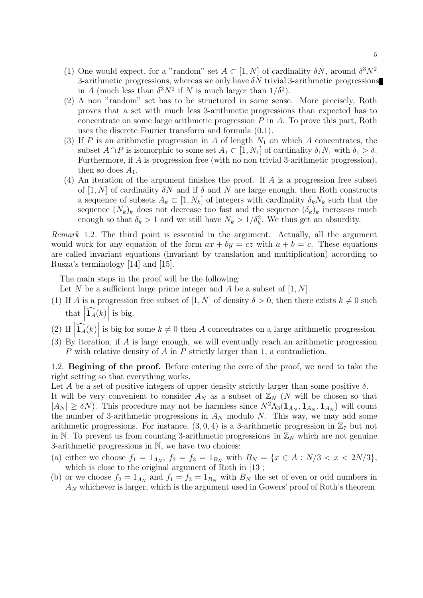- (1) One would expect, for a "random" set  $A \subset [1, N]$  of cardinality  $\delta N$ , around  $\delta^3 N^2$ 3-arithmetic progressions, whereas we only have  $\delta N$  trivial 3-arithmetic progressions in A (much less than  $\delta^3 N^2$  if N is much larger than  $1/\delta^2$ ).
- (2) A non "random" set has to be structured in some sense. More precisely, Roth proves that a set with much less 3-arithmetic progressions than expected has to concentrate on some large arithmetic progression  $P$  in  $A$ . To prove this part, Roth uses the discrete Fourier transform and formula (0.1).
- (3) If P is an arithmetic progression in A of length  $N_1$  on which A concentrates, the subset  $A \cap P$  is isomorphic to some set  $A_1 \subset [1, N_1]$  of cardinality  $\delta_1 N_1$  with  $\delta_1 > \delta$ . Furthermore, if A is progression free (with no non trivial 3-arithmetic progression), then so does  $A_1$ .
- (4) An iteration of the argument finishes the proof. If  $A$  is a progression free subset of [1, N] of cardinality  $\delta N$  and if  $\delta$  and N are large enough, then Roth constructs a sequence of subsets  $A_k \subset [1, N_k]$  of integers with cardinality  $\delta_k N_k$  such that the sequence  $(N_k)_k$  does not decrease too fast and the sequence  $(\delta_k)_k$  increases much enough so that  $\delta_k > 1$  and we still have  $N_k > 1/\delta_k^2$ . We thus get an absurdity.

Remark 1.2. The third point is essential in the argument. Actually, all the argument would work for any equation of the form  $ax + by = cz$  with  $a + b = c$ . These equations are called invariant equations (invariant by translation and multiplication) according to Rusza's terminology [14] and [15].

The main steps in the proof will be the following:

Let N be a sufficient large prime integer and A be a subset of  $[1, N]$ .

- (1) If A is a progression free subset of [1, N] of density  $\delta > 0$ , then there exists  $k \neq 0$  such that  $\left|\widehat{\mathbf{1}_A}(k)\right|$  is big.
- (2) If  $|\widehat{1_A}(k)|$  is big for some  $k \neq 0$  then A concentrates on a large arithmetic progression.
- (3) By iteration, if A is large enough, we will eventually reach an arithmetic progression P with relative density of A in P strictly larger than 1, a contradiction.

1.2. Begining of the proof. Before entering the core of the proof, we need to take the right setting so that everything works.

Let A be a set of positive integers of upper density strictly larger than some positive  $\delta$ .

It will be very convenient to consider  $A_N$  as a subset of  $\mathbb{Z}_N$  (N will be chosen so that  $|A_N| \geq \delta N$ ). This procedure may not be harmless since  $N^2 \Lambda_3(\mathbf{1}_{A_N}, \mathbf{1}_{A_N}, \mathbf{1}_{A_N})$  will count the number of 3-arithmetic progressions in  $A_N$  modulo N. This way, we may add some arithmetic progressions. For instance,  $(3, 0, 4)$  is a 3-arithmetic progression in  $\mathbb{Z}_7$  but not in N. To prevent us from counting 3-arithmetic progressions in  $\mathbb{Z}_N$  which are not genuine 3-arithmetic progressions in N, we have two choices:

- (a) either we choose  $f_1 = 1_{A_N}$ ,  $f_2 = f_3 = 1_{B_N}$  with  $B_N = \{x \in A : N/3 < x < 2N/3\}$ , which is close to the original argument of Roth in [13];
- (b) or we choose  $f_2 = 1_{A_N}$  and  $f_1 = f_3 = 1_{B_N}$  with  $B_N$  the set of even or odd numbers in  $A_N$  whichever is larger, which is the argument used in Gowers' proof of Roth's theorem.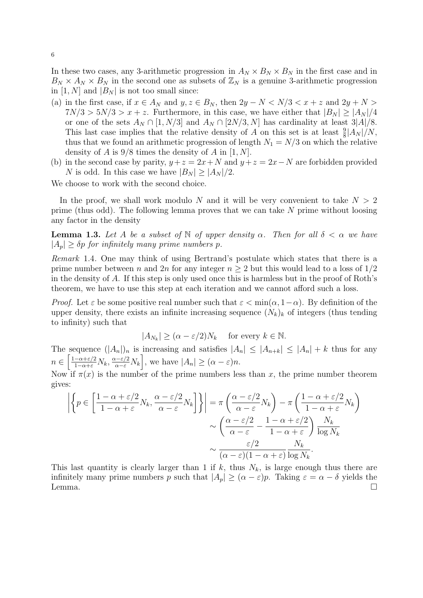In these two cases, any 3-arithmetic progression in  $A_N \times B_N \times B_N$  in the first case and in  $B_N \times A_N \times B_N$  in the second one as subsets of  $\mathbb{Z}_N$  is a genuine 3-arithmetic progression in [1, N] and  $|B_N|$  is not too small since:

- (a) in the first case, if  $x \in A_N$  and  $y, z \in B_N$ , then  $2y N < N/3 < x + z$  and  $2y + N >$  $7N/3 > 5N/3 > x + z$ . Furthermore, in this case, we have either that  $|B_N| \ge |A_N|/4$ or one of the sets  $A_N \cap [1, N/3]$  and  $A_N \cap [2N/3, N]$  has cardinality at least  $3|A|/8$ . This last case implies that the relative density of A on this set is at least  $\frac{9}{8}$  $|A_N|/N$ , thus that we found an arithmetic progression of length  $N_1 = N/3$  on which the relative density of A is  $9/8$  times the density of A in [1, N].
- (b) in the second case by parity,  $y + z = 2x + N$  and  $y + z = 2x N$  are forbidden provided N is odd. In this case we have  $|B_N| \ge |A_N|/2$ .

We choose to work with the second choice.

In the proof, we shall work modulo N and it will be very convenient to take  $N > 2$ prime (thus odd). The following lemma proves that we can take  $N$  prime without loosing any factor in the density

**Lemma 1.3.** Let A be a subset of N of upper density  $\alpha$ . Then for all  $\delta < \alpha$  we have  $|A_n| > \delta p$  for infinitely many prime numbers p.

Remark 1.4. One may think of using Bertrand's postulate which states that there is a prime number between n and 2n for any integer  $n > 2$  but this would lead to a loss of  $1/2$ in the density of A. If this step is only used once this is harmless but in the proof of Roth's theorem, we have to use this step at each iteration and we cannot afford such a loss.

*Proof.* Let  $\varepsilon$  be some positive real number such that  $\varepsilon < \min(\alpha, 1-\alpha)$ . By definition of the upper density, there exists an infinite increasing sequence  $(N_k)_k$  of integers (thus tending to infinity) such that

$$
|A_{N_k}| \ge (\alpha - \varepsilon/2)N_k \quad \text{ for every } k \in \mathbb{N}.
$$

The sequence  $(|A_n|)_n$  is increasing and satisfies  $|A_n| \leq |A_{n+k}| \leq |A_n| + k$  thus for any  $n \in \left[\frac{1-\alpha+\varepsilon/2}{1-\alpha+\varepsilon}N_k, \frac{\alpha-\varepsilon/2}{\alpha-\varepsilon}N_k\right],$  we have  $|A_n| \geq (\alpha-\varepsilon)n$ .

Now if  $\pi(x)$  is the number of the prime numbers less than x, the prime number theorem gives:

$$
\left| \left\{ p \in \left[ \frac{1 - \alpha + \varepsilon/2}{1 - \alpha + \varepsilon} N_k, \frac{\alpha - \varepsilon/2}{\alpha - \varepsilon} N_k \right] \right\} \right| = \pi \left( \frac{\alpha - \varepsilon/2}{\alpha - \varepsilon} N_k \right) - \pi \left( \frac{1 - \alpha + \varepsilon/2}{1 - \alpha + \varepsilon} N_k \right) \times \left( \frac{\alpha - \varepsilon/2}{\alpha - \varepsilon} - \frac{1 - \alpha + \varepsilon/2}{1 - \alpha + \varepsilon} \right) \frac{N_k}{\log N_k} \times \frac{\varepsilon/2}{(\alpha - \varepsilon)(1 - \alpha + \varepsilon)} \frac{N_k}{\log N_k}.
$$

This last quantity is clearly larger than 1 if k, thus  $N_k$ , is large enough thus there are infinitely many prime numbers p such that  $|A_p| \geq (\alpha - \varepsilon)p$ . Taking  $\varepsilon = \alpha - \delta$  yields the Lemma.  $\Box$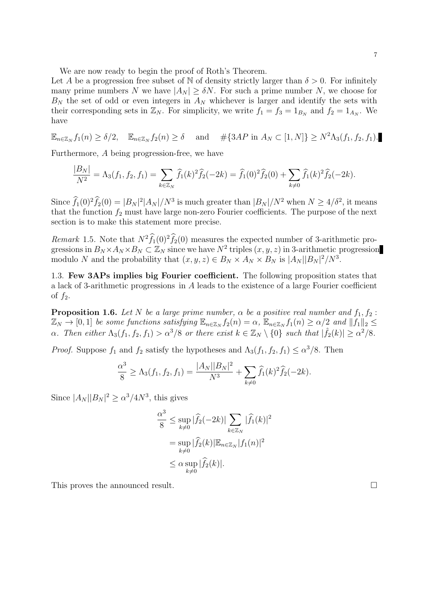We are now ready to begin the proof of Roth's Theorem.

Let A be a progression free subset of N of density strictly larger than  $\delta > 0$ . For infinitely many prime numbers N we have  $|A_N| \geq \delta N$ . For such a prime number N, we choose for  $B_N$  the set of odd or even integers in  $A_N$  whichever is larger and identify the sets with their corresponding sets in  $\mathbb{Z}_N$ . For simplicity, we write  $f_1 = f_3 = 1_{B_N}$  and  $f_2 = 1_{A_N}$ . We have

$$
\mathbb{E}_{n\in\mathbb{Z}_N}f_1(n)\geq \delta/2,\quad \mathbb{E}_{n\in\mathbb{Z}_N}f_2(n)\geq \delta\quad \text{ and }\quad\#\{3AP\text{ in }A_N\subset[1,N]\}\geq N^2\Lambda_3(f_1,f_2,f_1).
$$

Furthermore, A being progression-free, we have

$$
\frac{|B_N|}{N^2} = \Lambda_3(f_1, f_2, f_1) = \sum_{k \in \mathbb{Z}_N} \widehat{f}_1(k)^2 \widehat{f}_2(-2k) = \widehat{f}_1(0)^2 \widehat{f}_2(0) + \sum_{k \neq 0} \widehat{f}_1(k)^2 \widehat{f}_2(-2k).
$$

Since  $f_1(0)^2 f_2(0) = |B_N|^2 |A_N| / N^3$  is much greater than  $|B_N| / N^2$  when  $N \ge 4/\delta^2$ , it means that the function  $f_2$  must have large non-zero Fourier coefficients. The purpose of the next section is to make this statement more precise.

Remark 1.5. Note that  $N^2 f_1(0)^2 f_2(0)$  measures the expected number of 3-arithmetic progressions in  $B_N \times A_N \times B_N \subset \mathbb{Z}_N$  since we have  $N^2$  triples  $(x, y, z)$  in 3-arithmetic progression modulo N and the probability that  $(x, y, z) \in B_N \times A_N \times B_N$  is  $|A_N||B_N|^2/N^3$ .

1.3. Few 3APs implies big Fourier coefficient. The following proposition states that a lack of 3-arithmetic progressions in A leads to the existence of a large Fourier coefficient of  $f_2$ .

**Proposition 1.6.** Let N be a large prime number,  $\alpha$  be a positive real number and  $f_1, f_2$ :  $\mathbb{Z}_N \to [0,1]$  be some functions satisfying  $\mathbb{E}_{n \in \mathbb{Z}_N} f_2(n) = \alpha$ ,  $\mathbb{E}_{n \in \mathbb{Z}_N} f_1(n) \ge \alpha/2$  and  $||f_1||_2 \le$  $\alpha$ . Then either  $\Lambda_3(f_1, f_2, f_1) > \alpha^3/8$  or there exist  $k \in \mathbb{Z}_N \setminus \{0\}$  such that  $|\hat{f}_2(k)| \geq \alpha^2/8$ .

*Proof.* Suppose  $f_1$  and  $f_2$  satisfy the hypotheses and  $\Lambda_3(f_1, f_2, f_1) \leq \alpha^3/8$ . Then

$$
\frac{\alpha^3}{8} \ge \Lambda_3(f_1, f_2, f_1) = \frac{|A_N||B_N|^2}{N^3} + \sum_{k \ne 0} \widehat{f}_1(k)^2 \widehat{f}_2(-2k).
$$

Since  $|A_N||B_N|^2 \ge \alpha^3/4N^3$ , this gives

$$
\frac{\alpha^3}{8} \le \sup_{k \neq 0} |\widehat{f}_2(-2k)| \sum_{k \in \mathbb{Z}_N} |\widehat{f}_1(k)|^2
$$
  
= 
$$
\sup_{k \neq 0} |\widehat{f}_2(k)| \mathbb{E}_{n \in \mathbb{Z}_N} |f_1(n)|^2
$$
  

$$
\le \alpha \sup_{k \neq 0} |\widehat{f}_2(k)|.
$$

This proves the announced result.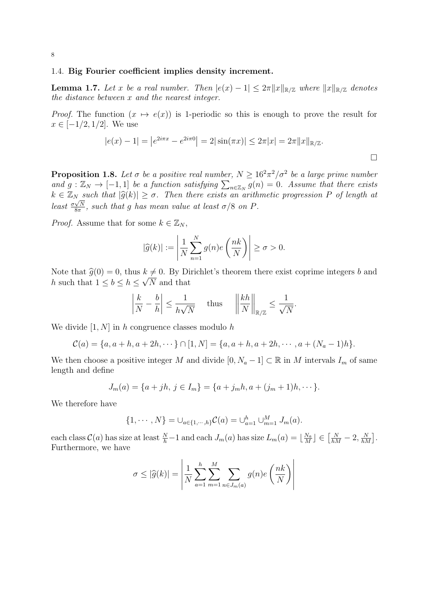### 1.4. Big Fourier coefficient implies density increment.

**Lemma 1.7.** Let x be a real number. Then  $|e(x) - 1| \leq 2\pi ||x||_{\mathbb{R}/\mathbb{Z}}$  where  $||x||_{\mathbb{R}/\mathbb{Z}}$  denotes the distance between x and the nearest integer.

*Proof.* The function  $(x \mapsto e(x))$  is 1-periodic so this is enough to prove the result for  $x \in [-1/2, 1/2]$ . We use

$$
|e(x) - 1| = |e^{2i\pi x} - e^{2i\pi 0}| = 2|\sin(\pi x)| \le 2\pi |x| = 2\pi ||x||_{\mathbb{R}/\mathbb{Z}}.
$$

**Proposition 1.8.** Let  $\sigma$  be a positive real number,  $N \geq 16^2 \pi^2/\sigma^2$  be a large prime number and  $g: \mathbb{Z}_N \to [-1,1]$  be a function satisfying  $\sum_{n \in \mathbb{Z}_N} g(n) = 0$ . Assume that there exists  $k \in \mathbb{Z}_N$  such that  $|\widehat{g}(k)| \geq \sigma$ . Then there exists an arithmetic progression P of length at least  $\frac{\sigma \sqrt{N}}{8\pi}$  $\frac{\sqrt{N}}{8\pi}$ , such that g has mean value at least  $\sigma/8$  on P.

*Proof.* Assume that for some  $k \in \mathbb{Z}_N$ ,

$$
|\widehat{g}(k)| := \left| \frac{1}{N} \sum_{n=1}^{N} g(n) e\left(\frac{nk}{N}\right) \right| \ge \sigma > 0.
$$

Note that  $\hat{g}(0) = 0$ , thus  $k \neq 0$ . By Dirichlet's theorem there exist coprime integers b and h such that  $1 \leq b \leq h \leq \sqrt{N}$  and that

$$
\left|\frac{k}{N} - \frac{b}{h}\right| \le \frac{1}{h\sqrt{N}} \quad \text{thus} \quad \left|\left|\frac{kh}{N}\right|\right|_{\mathbb{R}/\mathbb{Z}} \le \frac{1}{\sqrt{N}}.
$$

We divide  $[1, N]$  in h congruence classes modulo h

$$
C(a) = \{a, a+h, a+2h, \cdots\} \cap [1, N] = \{a, a+h, a+2h, \cdots, a+(N_a-1)h\}.
$$

We then choose a positive integer M and divide  $[0, N_a - 1] \subset \mathbb{R}$  in M intervals  $I_m$  of same length and define

$$
J_m(a) = \{a + jh, j \in I_m\} = \{a + j_mh, a + (j_m + 1)h, \dots\}.
$$

We therefore have

$$
\{1, \cdots, N\} = \bigcup_{a \in \{1, \cdots, h\}} C(a) = \bigcup_{a=1}^{h} \bigcup_{m=1}^{M} J_m(a).
$$

each class  $\mathcal{C}(a)$  has size at least  $\frac{N}{h} - 1$  and each  $J_m(a)$  has size  $L_m(a) = \lfloor \frac{N_a}{M} \rfloor$  $\frac{N_a}{M}$ ]  $\in \left[\frac{N}{hM} - 2, \frac{N}{hM}\right]$ . Furthermore, we have

$$
\sigma \leq |\widehat{g}(k)| = \left| \frac{1}{N} \sum_{a=1}^{h} \sum_{m=1}^{M} \sum_{n \in J_m(a)} g(n) e\left(\frac{nk}{N}\right) \right|
$$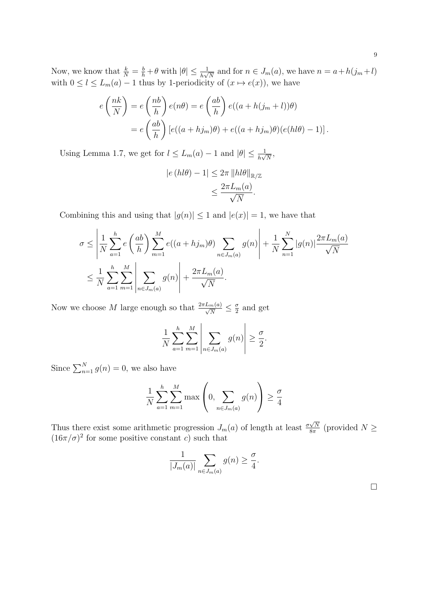Now, we know that  $\frac{k}{N} = \frac{b}{h} + \theta$  with  $|\theta| \le \frac{1}{h\sqrt{N}}$  and for  $n \in J_m(a)$ , we have  $n = a + h(j_m + l)$ with  $0 \leq l \leq L_m(a) - 1$  thus by 1-periodicity of  $(x \mapsto e(x))$ , we have

$$
e\left(\frac{nk}{N}\right) = e\left(\frac{nb}{h}\right)e(n\theta) = e\left(\frac{ab}{h}\right)e((a+h(j_m+l))\theta)
$$

$$
= e\left(\frac{ab}{h}\right)[e((a+hj_m)\theta) + e((a+hj_m)\theta)(e(hl\theta) - 1)].
$$

Using Lemma 1.7, we get for  $l \le L_m(a) - 1$  and  $|\theta| \le \frac{1}{h\sqrt{N}}$ ,

$$
|e(hl\theta) - 1| \leq 2\pi ||hl\theta||_{\mathbb{R}/\mathbb{Z}}\leq \frac{2\pi L_m(a)}{\sqrt{N}}.
$$

Combining this and using that  $|g(n)| \leq 1$  and  $|e(x)| = 1$ , we have that

$$
\sigma \le \left| \frac{1}{N} \sum_{a=1}^{h} e\left(\frac{ab}{h}\right) \sum_{m=1}^{M} e((a+hj_m)\theta) \sum_{n \in J_m(a)} g(n) \right| + \frac{1}{N} \sum_{n=1}^{N} |g(n)| \frac{2\pi L_m(a)}{\sqrt{N}}
$$
  

$$
\le \frac{1}{N} \sum_{a=1}^{h} \sum_{m=1}^{M} \left| \sum_{n \in J_m(a)} g(n) \right| + \frac{2\pi L_m(a)}{\sqrt{N}}.
$$

Now we choose M large enough so that  $\frac{2\pi L_m(a)}{\sqrt{N}} \leq \frac{\sigma}{2}$  $\frac{\sigma}{2}$  and get

$$
\frac{1}{N} \sum_{a=1}^{h} \sum_{m=1}^{M} \left| \sum_{n \in J_m(a)} g(n) \right| \geq \frac{\sigma}{2}.
$$

Since  $\sum_{n=1}^{N} g(n) = 0$ , we also have

$$
\frac{1}{N} \sum_{a=1}^{h} \sum_{m=1}^{M} \max\left(0, \sum_{n \in J_m(a)} g(n)\right) \ge \frac{\sigma}{4}
$$

Thus there exist some arithmetic progression  $J_m(a)$  of length at least  $\frac{\sigma\sqrt{N}}{8\pi}$  $\frac{N}{8\pi}$  (provided  $N \geq$  $(16\pi/\sigma)^2$  for some positive constant c) such that

$$
\frac{1}{|J_m(a)|} \sum_{n \in J_m(a)} g(n) \ge \frac{\sigma}{4}.
$$

 $\Box$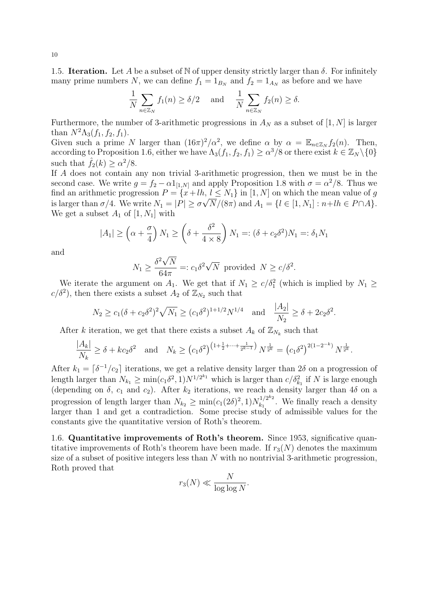1.5. **Iteration.** Let A be a subset of N of upper density strictly larger than  $\delta$ . For infinitely many prime numbers N, we can define  $f_1 = 1_{B_N}$  and  $f_2 = 1_{A_N}$  as before and we have

$$
\frac{1}{N} \sum_{n \in \mathbb{Z}_N} f_1(n) \ge \delta/2 \quad \text{and} \quad \frac{1}{N} \sum_{n \in \mathbb{Z}_N} f_2(n) \ge \delta.
$$

Furthermore, the number of 3-arithmetic progressions in  $A_N$  as a subset of [1, N] is larger than  $N^2\Lambda_3(f_1, f_2, f_1)$ .

Given such a prime N larger than  $(16\pi)^2/\alpha^2$ , we define  $\alpha$  by  $\alpha = \mathbb{E}_{n \in \mathbb{Z}_N} f_2(n)$ . Then, according to Proposition 1.6, either we have  $\Lambda_3(f_1, f_2, f_1) \ge \alpha^3/8$  or there exist  $k \in \mathbb{Z}_N \setminus \{0\}$ such that  $\hat{f}_2(k) \ge \alpha^2/8$ .

If A does not contain any non trivial 3-arithmetic progression, then we must be in the second case. We write  $g = f_2 - \alpha 1_{[1,N]}$  and apply Proposition 1.8 with  $\sigma = \alpha^2/8$ . Thus we find an arithmetic progression  $P = \{x + lh, l \leq N_1\}$  in  $[1, N]$  on which the mean value of g is larger than  $\sigma/4$ . We write  $N_1 = |P| \geq \sigma \sqrt{N/(8\pi)}$  and  $A_1 = \{l \in [1, N_1] : n + lh \in P \cap A\}$ . We get a subset  $A_1$  of  $[1, N_1]$  with

$$
|A_1| \ge \left(\alpha + \frac{\sigma}{4}\right) N_1 \ge \left(\delta + \frac{\delta^2}{4 \times 8}\right) N_1 =: (\delta + c_2 \delta^2) N_1 =: \delta_1 N_1
$$

and

$$
N_1 \ge \frac{\delta^2 \sqrt{N}}{64\pi} =: c_1 \delta^2 \sqrt{N} \text{ provided } N \ge c/\delta^2.
$$

We iterate the argument on  $A_1$ . We get that if  $N_1 \ge c/\delta_1^2$  (which is implied by  $N_1 \ge c$  $c/\delta^2$ , then there exists a subset  $A_2$  of  $\mathbb{Z}_{N_2}$  such that

$$
N_2 \ge c_1(\delta + c_2 \delta^2)^2 \sqrt{N_1} \ge (c_1 \delta^2)^{1+1/2} N^{1/4}
$$
 and  $\frac{|A_2|}{N_2} \ge \delta + 2c_2 \delta^2$ .

After k iteration, we get that there exists a subset  $A_k$  of  $\mathbb{Z}_{N_k}$  such that

$$
\frac{|A_k|}{N_k} \ge \delta + kc_2 \delta^2 \quad \text{and} \quad N_k \ge \left(c_1 \delta^2\right)^{\left(1 + \frac{1}{2} + \dots + \frac{1}{2^{k-1}}\right)} N^{\frac{1}{2^k}} = \left(c_1 \delta^2\right)^{2(1 - 2^{-k})} N^{\frac{1}{2^k}}.
$$

After  $k_1 = \lceil \delta^{-1}/c_2 \rceil$  iterations, we get a relative density larger than  $2\delta$  on a progression of length larger than  $N_{k_1} \ge \min(c_1 \delta^2, 1) N^{1/2^{k_1}}$  which is larger than  $c/\delta_{k_1}^2$  if N is large enough (depending on  $\delta$ ,  $c_1$  and  $c_2$ ). After  $k_2$  iterations, we reach a density larger than  $4\delta$  on a progression of length larger than  $N_{k_2} \ge \min(c_1(2\delta)^2, 1)N_{k_1}^{1/2^{k_2}}$  $\frac{f_1/2^{n_2}}{k_1}$ . We finally reach a density larger than 1 and get a contradiction. Some precise study of admissible values for the constants give the quantitative version of Roth's theorem.

1.6. Quantitative improvements of Roth's theorem. Since 1953, significative quantitative improvements of Roth's theorem have been made. If  $r_3(N)$  denotes the maximum size of a subset of positive integers less than N with no nontrivial 3-arithmetic progression, Roth proved that

$$
r_3(N) \ll \frac{N}{\log \log N}.
$$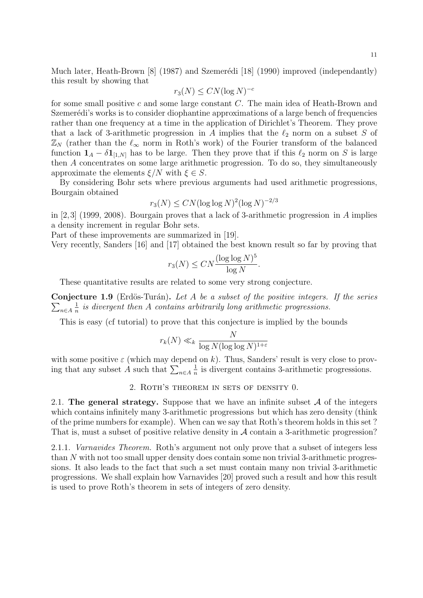Much later, Heath-Brown  $\begin{bmatrix} 8 \end{bmatrix}$  (1987) and Szemerédi [18] (1990) improved (independantly) this result by showing that

$$
r_3(N) \leq C N (\log N)^{-c}
$$

for some small positive c and some large constant C. The main idea of Heath-Brown and Szemerédi's works is to consider diophantine approximations of a large bench of frequencies rather than one frequency at a time in the application of Dirichlet's Theorem. They prove that a lack of 3-arithmetic progression in A implies that the  $\ell_2$  norm on a subset S of  $\mathbb{Z}_N$  (rather than the  $\ell_{\infty}$  norm in Roth's work) of the Fourier transform of the balanced function  $\mathbf{1}_A - \delta \mathbf{1}_{[1,N]}$  has to be large. Then they prove that if this  $\ell_2$  norm on S is large then A concentrates on some large arithmetic progression. To do so, they simultaneously approximate the elements  $\xi/N$  with  $\xi \in S$ .

By considering Bohr sets where previous arguments had used arithmetic progressions, Bourgain obtained

$$
r_3(N) \le CN (\log \log N)^2 (\log N)^{-2/3}
$$

in [2,3] (1999, 2008). Bourgain proves that a lack of 3-arithmetic progression in A implies a density increment in regular Bohr sets.

Part of these improvements are summarized in [19].

Very recently, Sanders [16] and [17] obtained the best known result so far by proving that

$$
r_3(N) \le CN \frac{(\log \log N)^5}{\log N}.
$$

These quantitative results are related to some very strong conjecture.

**Conjecture 1.9** (Erdös-Turán). Let A be a subset of the positive integers. If the series  $\sum_{n\in A}$ 1  $\frac{1}{n}$  is divergent then A contains arbitrarily long arithmetic progressions.

This is easy (cf tutorial) to prove that this conjecture is implied by the bounds

$$
r_k(N) \ll_k \frac{N}{\log N (\log \log N)^{1+\varepsilon}}
$$

with some positive  $\varepsilon$  (which may depend on k). Thus, Sanders' result is very close to proving that any subset A such that  $\sum_{n \in A}$ 1  $\frac{1}{n}$  is divergent contains 3-arithmetic progressions.

2. Roth's theorem in sets of density 0.

2.1. The general strategy. Suppose that we have an infinite subset  $A$  of the integers which contains infinitely many 3-arithmetic progressions but which has zero density (think of the prime numbers for example). When can we say that Roth's theorem holds in this set ? That is, must a subset of positive relative density in A contain a 3-arithmetic progression?

2.1.1. Varnavides Theorem. Roth's argument not only prove that a subset of integers less than N with not too small upper density does contain some non trivial 3-arithmetic progressions. It also leads to the fact that such a set must contain many non trivial 3-arithmetic progressions. We shall explain how Varnavides [20] proved such a result and how this result is used to prove Roth's theorem in sets of integers of zero density.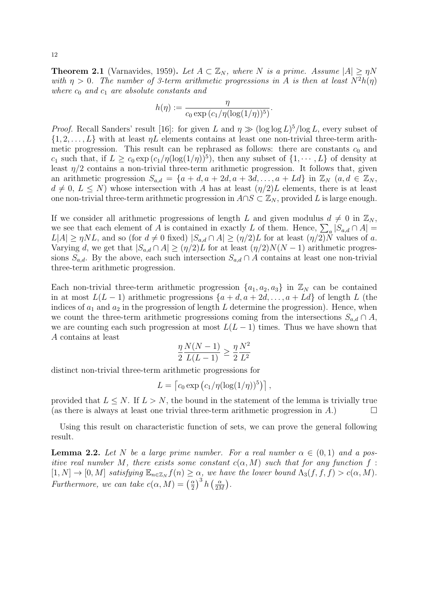**Theorem 2.1** (Varnavides, 1959). Let  $A \subset \mathbb{Z}_N$ , where N is a prime. Assume  $|A| \geq \eta N$ with  $\eta > 0$ . The number of 3-term arithmetic progressions in A is then at least  $N^2h(\eta)$ where  $c_0$  and  $c_1$  are absolute constants and

$$
h(\eta) := \frac{\eta}{c_0 \exp\left(c_1/\eta(\log(1/\eta))^5\right)}.
$$

*Proof.* Recall Sanders' result [16]: for given L and  $\eta \gg (\log \log L)^5 / \log L$ , every subset of  $\{1, 2, \ldots, L\}$  with at least  $\eta L$  elements contains at least one non-trivial three-term arithmetic progression. This result can be rephrased as follows: there are constants  $c_0$  and  $c_1$  such that, if  $L \geq c_0 \exp(c_1/\eta(\log(1/\eta))^5)$ , then any subset of  $\{1, \dots, L\}$  of density at least  $\eta/2$  contains a non-trivial three-term arithmetic progression. It follows that, given an arithmetic progression  $S_{a,d} = \{a+d, a+2d, a+3d, \ldots, a+Ld\}$  in  $\mathbb{Z}_N$   $(a,d \in \mathbb{Z}_N)$ ,  $d \neq 0, L \leq N$ ) whose intersection with A has at least  $(\eta/2)L$  elements, there is at least one non-trivial three-term arithmetic progression in  $A\cap S\subset \mathbb{Z}_N$ , provided L is large enough.

If we consider all arithmetic progressions of length L and given modulus  $d \neq 0$  in  $\mathbb{Z}_N$ , we see that each element of A is contained in exactly L of them. Hence,  $\sum_a |S_{a,d} \cap A|$  $L|A| \geq \eta NL$ , and so (for  $d \neq 0$  fixed)  $|S_{a,d} \cap A| \geq (\eta/2)L$  for at least  $(\eta/2)N$  values of a. Varying d, we get that  $|S_{a,d} \cap A| \geq (\eta/2)L$  for at least  $(\eta/2)N(N-1)$  arithmetic progressions  $S_{a,d}$ . By the above, each such intersection  $S_{a,d} \cap A$  contains at least one non-trivial three-term arithmetic progression.

Each non-trivial three-term arithmetic progression  $\{a_1, a_2, a_3\}$  in  $\mathbb{Z}_N$  can be contained in at most  $L(L-1)$  arithmetic progressions  $\{a+d, a+2d, \ldots, a+Ld\}$  of length L (the indices of  $a_1$  and  $a_2$  in the progression of length L determine the progression). Hence, when we count the three-term arithmetic progressions coming from the intersections  $S_{a,d} \cap A$ , we are counting each such progression at most  $L(L-1)$  times. Thus we have shown that A contains at least

$$
\frac{\eta}{2} \frac{N(N-1)}{L(L-1)} \ge \frac{\eta}{2} \frac{N^2}{L^2}
$$

distinct non-trivial three-term arithmetic progressions for

$$
L = \left[ c_0 \exp \left( c_1 / \eta (\log(1/\eta))^5 \right) \right],
$$

provided that  $L \leq N$ . If  $L > N$ , the bound in the statement of the lemma is trivially true (as there is always at least one trivial three-term arithmetic progression in A.)

Using this result on characteristic function of sets, we can prove the general following result.

**Lemma 2.2.** Let N be a large prime number. For a real number  $\alpha \in (0,1)$  and a positive real number M, there exists some constant  $c(\alpha, M)$  such that for any function f:  $[1, N] \to [0, M]$  satisfying  $\mathbb{E}_{n \in \mathbb{Z}_N} f(n) \ge \alpha$ , we have the lower bound  $\Lambda_3(f, f, f) > c(\alpha, M)$ . Furthermore, we can take  $c(\alpha, M) = \left(\frac{\alpha}{2}\right)$  $\left(\frac{\alpha}{2}\right)^3 h\left(\frac{\alpha}{2\Lambda}\right)$  $\frac{\alpha}{2M}\big).$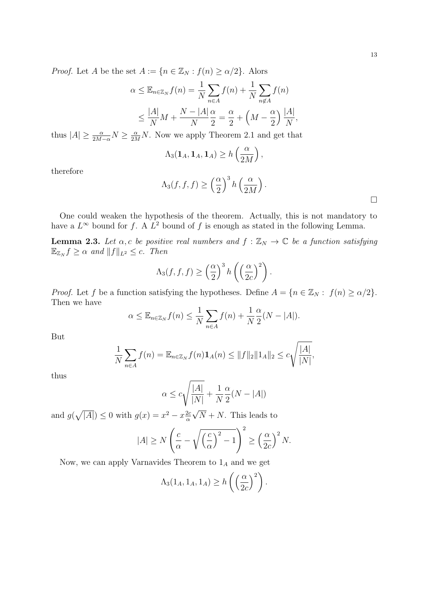*Proof.* Let A be the set  $A := \{n \in \mathbb{Z}_N : f(n) \geq \alpha/2\}$ . Alors

$$
\alpha \leq \mathbb{E}_{n \in \mathbb{Z}_N} f(n) = \frac{1}{N} \sum_{n \in A} f(n) + \frac{1}{N} \sum_{n \notin A} f(n)
$$
  

$$
\leq \frac{|A|}{N} M + \frac{N - |A|}{N} \frac{\alpha}{2} = \frac{\alpha}{2} + \left( M - \frac{\alpha}{2} \right) \frac{|A|}{N},
$$

thus  $|A| \ge \frac{\alpha}{2M-\alpha}N \ge \frac{\alpha}{2M}N$ . Now we apply Theorem 2.1 and get that

$$
\Lambda_3(\mathbf{1}_A, \mathbf{1}_A, \mathbf{1}_A) \ge h\left(\frac{\alpha}{2M}\right),\,
$$

therefore

$$
\Lambda_3(f, f, f) \ge \left(\frac{\alpha}{2}\right)^3 h\left(\frac{\alpha}{2M}\right).
$$

One could weaken the hypothesis of the theorem. Actually, this is not mandatory to have a  $L^{\infty}$  bound for f. A  $L^2$  bound of f is enough as stated in the following Lemma.

**Lemma 2.3.** Let  $\alpha$ , c be positive real numbers and  $f : \mathbb{Z}_N \to \mathbb{C}$  be a function satisfying  $\mathbb{E}_{\mathbb{Z}_N} f \geq \alpha$  and  $||f||_{L^2} \leq c$ . Then

$$
\Lambda_3(f, f, f) \ge \left(\frac{\alpha}{2}\right)^3 h\left(\left(\frac{\alpha}{2c}\right)^2\right).
$$

*Proof.* Let f be a function satisfying the hypotheses. Define  $A = \{n \in \mathbb{Z}_N : f(n) \geq \alpha/2\}.$ Then we have

$$
\alpha \leq \mathbb{E}_{n \in \mathbb{Z}_N} f(n) \leq \frac{1}{N} \sum_{n \in A} f(n) + \frac{1}{N} \frac{\alpha}{2} (N - |A|).
$$

But

$$
\frac{1}{N} \sum_{n \in A} f(n) = \mathbb{E}_{n \in \mathbb{Z}_N} f(n) \mathbf{1}_A(n) \le ||f||_2 ||\mathbf{1}_A ||_2 \le c \sqrt{\frac{|A|}{|N|}},
$$

thus

$$
\alpha \le c \sqrt{\frac{|A|}{|N|}} + \frac{1}{N} \frac{\alpha}{2} (N - |A|)
$$

and  $g(\sqrt{|A|}) \leq 0$  with  $g(x) = x^2 - x \frac{2c}{\alpha}$ α  $N + N$ . This leads to

$$
|A| \ge N\left(\frac{c}{\alpha} - \sqrt{\left(\frac{c}{\alpha}\right)^2 - 1}\right)^2 \ge \left(\frac{\alpha}{2c}\right)^2 N.
$$

Now, we can apply Varnavides Theorem to  $1_A$  and we get

$$
\Lambda_3(1_A, 1_A, 1_A) \ge h\left(\left(\frac{\alpha}{2c}\right)^2\right).
$$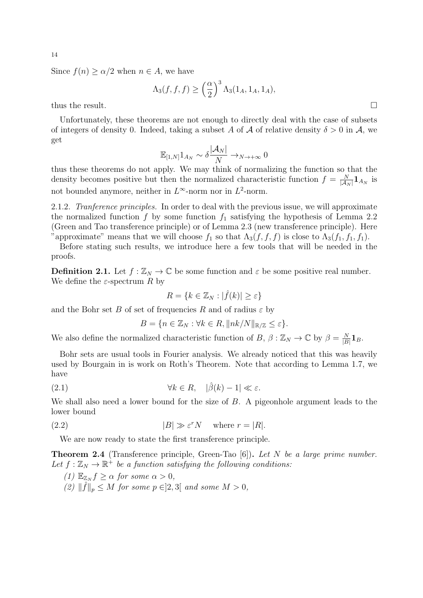Since  $f(n) \ge \alpha/2$  when  $n \in A$ , we have

$$
\Lambda_3(f,f,f)\geq \left(\frac{\alpha}{2}\right)^3\Lambda_3(1_A,1_A,1_A),
$$
 thus the result.

Unfortunately, these theorems are not enough to directly deal with the case of subsets of integers of density 0. Indeed, taking a subset A of A of relative density  $\delta > 0$  in A, we get

$$
\mathbb{E}_{[1,N]}1_{A_N} \sim \delta \frac{|\mathcal{A}_N|}{N} \to_{N \to +\infty} 0
$$

thus these theorems do not apply. We may think of normalizing the function so that the density becomes positive but then the normalized characteristic function  $f = \frac{N}{|A|}$  $\frac{N}{|{\cal A}_N|} {\bf 1}_{{\cal A}_N}$  is not bounded anymore, neither in  $L^{\infty}$ -norm nor in  $L^2$ -norm.

2.1.2. Tranference principles. In order to deal with the previous issue, we will approximate the normalized function f by some function  $f_1$  satisfying the hypothesis of Lemma 2.2 (Green and Tao transference principle) or of Lemma 2.3 (new transference principle). Here "approximate" means that we will choose  $f_1$  so that  $\Lambda_3(f, f, f)$  is close to  $\Lambda_3(f_1, f_1, f_1)$ .

Before stating such results, we introduce here a few tools that will be needed in the proofs.

**Definition 2.1.** Let  $f : \mathbb{Z}_N \to \mathbb{C}$  be some function and  $\varepsilon$  be some positive real number. We define the  $\varepsilon$ -spectrum R by

$$
R = \{ k \in \mathbb{Z}_N : |\hat{f}(k)| \ge \varepsilon \}
$$

and the Bohr set B of set of frequencies R and of radius  $\varepsilon$  by

$$
B = \{ n \in \mathbb{Z}_N : \forall k \in R, ||nk/N||_{\mathbb{R}/\mathbb{Z}} \le \varepsilon \}.
$$

We also define the normalized characteristic function of B,  $\beta : \mathbb{Z}_N \to \mathbb{C}$  by  $\beta = \frac{N}{|B|}$  $\frac{N}{|B|} \mathbf{1}_{B}.$ 

Bohr sets are usual tools in Fourier analysis. We already noticed that this was heavily used by Bourgain in is work on Roth's Theorem. Note that according to Lemma 1.7, we have

(2.1) 
$$
\forall k \in R, \quad |\hat{\beta}(k) - 1| \ll \varepsilon.
$$

We shall also need a lower bound for the size of B. A pigeonhole argument leads to the lower bound

(2.2) 
$$
|B| \gg \varepsilon^r N \quad \text{where } r = |R|.
$$

We are now ready to state the first transference principle.

Theorem 2.4 (Transference principle, Green-Tao [6]). Let N be a large prime number. Let  $f: \mathbb{Z}_N \to \mathbb{R}^+$  be a function satisfying the following conditions:

(1)  $\mathbb{E}_{\mathbb{Z}_N} f \geq \alpha$  for some  $\alpha > 0$ ,

(2)  $\|\hat{f}\|_p \leq M$  for some  $p \in ]2,3[$  and some  $M > 0$ ,

14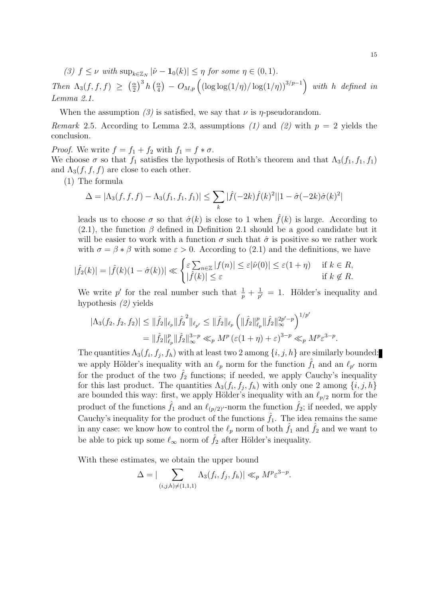(3)  $f \leq \nu$  with  $\sup_{k \in \mathbb{Z}_N} |\hat{\nu} - \mathbf{1}_0(k)| \leq \eta$  for some  $\eta \in (0,1)$ .

Then  $\Lambda_3(f, f, f) \geq \left(\frac{\alpha}{2}\right)$  $\left(\frac{\alpha}{2}\right)^3 h\left(\frac{\alpha}{4}\right)$  $\frac{\alpha}{4}$ ) –  $O_{M,p}\left( \left( \log \log(1/\eta) / \log(1/\eta) \right)^{3/p-1} \right)$  with h defined in Lemma 2.1.

When the assumption (3) is satisfied, we say that  $\nu$  is  $\eta$ -pseudorandom.

Remark 2.5. According to Lemma 2.3, assumptions (1) and (2) with  $p = 2$  yields the conclusion.

*Proof.* We write  $f = f_1 + f_2$  with  $f_1 = f * \sigma$ .

We choose  $\sigma$  so that  $f_1$  satisfies the hypothesis of Roth's theorem and that  $\Lambda_3(f_1, f_1, f_1)$ and  $\Lambda_3(f, f, f)$  are close to each other.

(1) The formula

$$
\Delta = |\Lambda_3(f, f, f) - \Lambda_3(f_1, f_1, f_1)| \le \sum_k |\hat{f}(-2k)\hat{f}(k)|^2 ||1 - \hat{\sigma}(-2k)\hat{\sigma}(k)|^2
$$

leads us to choose  $\sigma$  so that  $\hat{\sigma}(k)$  is close to 1 when  $\hat{f}(k)$  is large. According to (2.1), the function  $\beta$  defined in Definition 2.1 should be a good candidate but it will be easier to work with a function  $\sigma$  such that  $\hat{\sigma}$  is positive so we rather work with  $\sigma = \beta * \beta$  with some  $\varepsilon > 0$ . According to (2.1) and the definitions, we have

$$
|\hat{f}_2(k)| = |\hat{f}(k)(1 - \hat{\sigma}(k))| \ll \begin{cases} \varepsilon \sum_{n \in \mathbb{Z}} |f(n)| \le \varepsilon |\hat{\nu}(0)| \le \varepsilon (1 + \eta) & \text{if } k \in R, \\ |\hat{f}(k)| \le \varepsilon & \text{if } k \notin R. \end{cases}
$$

We write p' for the real number such that  $\frac{1}{p} + \frac{1}{p}$  $\frac{1}{p'} = 1$ . Hölder's inequality and hypothesis (2) yields

$$
\begin{split} |\Lambda_3(f_2, f_2, f_2)| &\leq \|\hat{f}_2\|_{\ell_p} \|\hat{f}_2^2\|_{\ell_{p'}} \leq \|\hat{f}_2\|_{\ell_p} \left(\|\hat{f}_2\|_{\ell_p}^p \|\hat{f}_2\|_{\infty}^{2p'-p}\right)^{1/p'}\\ &= \|\hat{f}_2\|_{\ell_p}^p \|\hat{f}_2\|_{\infty}^{3-p} \ll_p M^p \left(\varepsilon(1+\eta) + \varepsilon\right)^{3-p} \ll_p M^p \varepsilon^{3-p}. \end{split}
$$

The quantities  $\Lambda_3(f_i, f_j, f_h)$  with at least two 2 among  $\{i, j, h\}$  are similarly bounded: we apply Hölder's inequality with an  $\ell_p$  norm for the function  $\hat{f}_1$  and an  $\ell_{p'}$  norm for the product of the two  $\hat{f}_2$  functions; if needed, we apply Cauchy's inequality for this last product. The quantities  $\Lambda_3(f_i, f_j, f_h)$  with only one 2 among  $\{i, j, h\}$ are bounded this way: first, we apply Hölder's inequality with an  $\ell_{p/2}$  norm for the product of the functions  $\hat{f}_1$  and an  $\ell_{(p/2)^r}$ -norm the function  $\hat{f}_2$ ; if needed, we apply Cauchy's inequality for the product of the functions  $\hat{f}_1$ . The idea remains the same in any case: we know how to control the  $\ell_p$  norm of both  $\hat{f}_1$  and  $\hat{f}_2$  and we want to be able to pick up some  $\ell_{\infty}$  norm of  $\hat{f}_2$  after Hölder's inequality.

With these estimates, we obtain the upper bound

$$
\Delta = |\sum_{(i,j,h)\neq(1,1,1)} \Lambda_3(f_i,f_j,f_h)| \ll_p M^p \varepsilon^{3-p}.
$$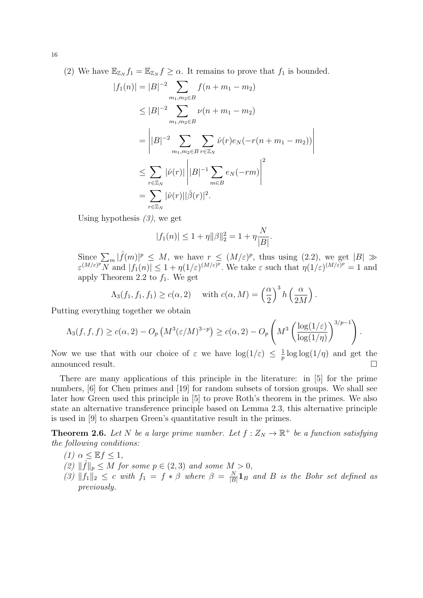(2) We have  $\mathbb{E}_{\mathbb{Z}_N} f_1 = \mathbb{E}_{\mathbb{Z}_N} f \ge \alpha$ . It remains to prove that  $f_1$  is bounded.

$$
|f_1(n)| = |B|^{-2} \sum_{m_1, m_2 \in B} f(n + m_1 - m_2)
$$
  
\n
$$
\leq |B|^{-2} \sum_{m_1, m_2 \in B} \nu(n + m_1 - m_2)
$$
  
\n
$$
= \left| |B|^{-2} \sum_{m_1, m_2 \in B} \sum_{r \in \mathbb{Z}_N} \hat{\nu}(r) e_N(-r(n + m_1 - m_2)) \right|
$$
  
\n
$$
\leq \sum_{r \in \mathbb{Z}_N} |\hat{\nu}(r)| \left| |B|^{-1} \sum_{m \in B} e_N(-rm) \right|^2
$$
  
\n
$$
= \sum_{r \in \mathbb{Z}_N} |\hat{\nu}(r)| |\hat{\beta}(r)|^2.
$$

Using hypothesis  $(3)$ , we get

$$
|f_1(n)| \le 1 + \eta \|\beta\|_2^2 = 1 + \eta \frac{N}{|B|}.
$$

Since  $\sum_m |\widehat{f}(m)|^p \leq M$ , we have  $r \leq (M/\varepsilon)^p$ , thus using  $(2.2)$ , we get  $|B| \gg$  $\varepsilon^{(M/\varepsilon)^p} N$  and  $|f_1(n)| \leq 1 + \eta(1/\varepsilon)^{(M/\varepsilon)^p}$ . We take  $\varepsilon$  such that  $\eta(1/\varepsilon)^{(M/\varepsilon)^p} = 1$  and apply Theorem 2.2 to  $f_1$ . We get

$$
\Lambda_3(f_1, f_1, f_1) \ge c(\alpha, 2) \quad \text{ with } c(\alpha, M) = \left(\frac{\alpha}{2}\right)^3 h\left(\frac{\alpha}{2M}\right).
$$

Putting everything together we obtain

$$
\Lambda_3(f, f, f) \ge c(\alpha, 2) - O_p\left(M^3(\varepsilon/M)^{3-p}\right) \ge c(\alpha, 2) - O_p\left(M^3\left(\frac{\log(1/\varepsilon)}{\log(1/\eta)}\right)^{3/p-1}\right).
$$

Now we use that with our choice of  $\varepsilon$  we have  $\log(1/\varepsilon) \leq \frac{1}{n}$  $\frac{1}{p} \log \log(1/p)$  and get the announced result.

There are many applications of this principle in the literature: in [5] for the prime numbers, [6] for Chen primes and [19] for random subsets of torsion groups. We shall see later how Green used this principle in [5] to prove Roth's theorem in the primes. We also state an alternative transference principle based on Lemma 2.3, this alternative principle is used in [9] to sharpen Green's quantitative result in the primes.

**Theorem 2.6.** Let N be a large prime number. Let  $f: Z_N \to \mathbb{R}^+$  be a function satisfying the following conditions:

- (1)  $\alpha \leq \mathbb{E} f \leq 1$ ,
- (2)  $\|\hat{f}\|_p \leq M$  for some  $p \in (2, 3)$  and some  $M > 0$ ,
- (3)  $||f_1||_2 \leq c$  with  $f_1 = f * \beta$  where  $\beta = \frac{N}{|B|}$  $\frac{N}{|B|} \mathbf{1}_B$  and B is the Bohr set defined as previously.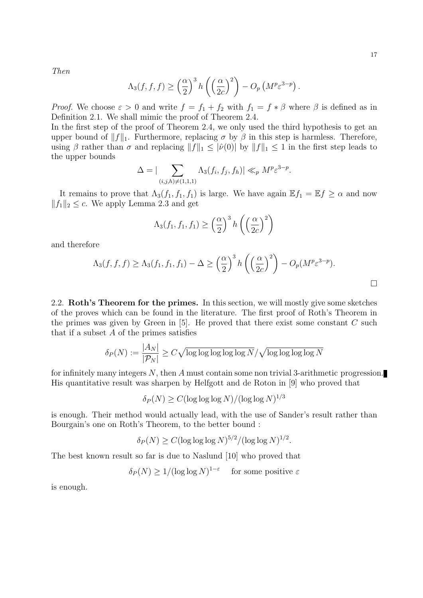Then

$$
\Lambda_3(f,f,f) \ge \left(\frac{\alpha}{2}\right)^3 h\left(\left(\frac{\alpha}{2c}\right)^2\right) - O_p\left(M^p \varepsilon^{3-p}\right).
$$

*Proof.* We choose  $\varepsilon > 0$  and write  $f = f_1 + f_2$  with  $f_1 = f * \beta$  where  $\beta$  is defined as in Definition 2.1. We shall mimic the proof of Theorem 2.4.

In the first step of the proof of Theorem 2.4, we only used the third hypothesis to get an upper bound of  $||f||_1$ . Furthermore, replacing  $\sigma$  by  $\beta$  in this step is harmless. Therefore, using β rather than  $\sigma$  and replacing  $||f||_1 \leq |\hat{\nu}(0)|$  by  $||f||_1 \leq 1$  in the first step leads to the upper bounds

$$
\Delta = |\sum_{(i,j,h)\neq (1,1,1)} \Lambda_3(f_i,f_j,f_h)| \ll_p M^p \varepsilon^{3-p}.
$$

It remains to prove that  $\Lambda_3(f_1, f_1, f_1)$  is large. We have again  $\mathbb{E} f_1 = \mathbb{E} f \ge \alpha$  and now  $||f_1||_2 \leq c$ . We apply Lemma 2.3 and get

$$
\Lambda_3(f_1, f_1, f_1) \ge \left(\frac{\alpha}{2}\right)^3 h\left(\left(\frac{\alpha}{2c}\right)^2\right)
$$

and therefore

$$
\Lambda_3(f, f, f) \geq \Lambda_3(f_1, f_1, f_1) - \Delta \geq \left(\frac{\alpha}{2}\right)^3 h\left(\left(\frac{\alpha}{2c}\right)^2\right) - O_p(M^p \varepsilon^{3-p}).
$$

2.2. Roth's Theorem for the primes. In this section, we will mostly give some sketches of the proves which can be found in the literature. The first proof of Roth's Theorem in the primes was given by Green in  $[5]$ . He proved that there exist some constant C such that if a subset  $A$  of the primes satisfies

$$
\delta_P(N) := \frac{|A_N|}{|\mathcal{P}_N|} \ge C\sqrt{\log \log \log \log \log N}/\sqrt{\log \log \log \log N}
$$

for infinitely many integers N, then A must contain some non trivial 3-arithmetic progression. His quantitative result was sharpen by Helfgott and de Roton in [9] who proved that

$$
\delta_P(N) \ge C(\log\log\log N)/(\log\log N)^{1/3}
$$

is enough. Their method would actually lead, with the use of Sander's result rather than Bourgain's one on Roth's Theorem, to the better bound :

$$
\delta_P(N) \ge C(\log \log \log N)^{5/2} / (\log \log N)^{1/2}.
$$

The best known result so far is due to Naslund [10] who proved that

 $\delta_P(N) \geq 1/(\log \log N)^{1-\varepsilon}$  for some positive  $\varepsilon$ 

is enough.

 $\Box$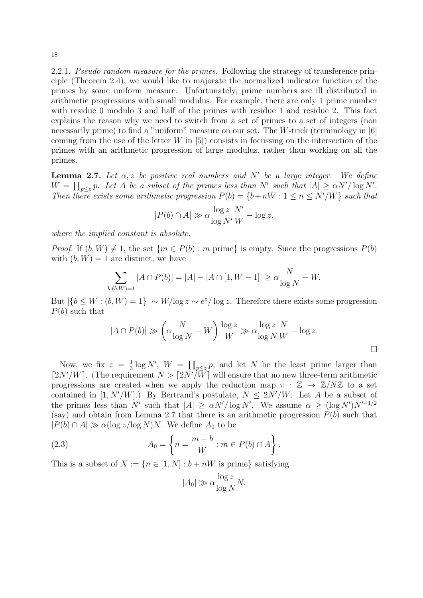2.2.1. *Pseudo random measure for the primes.* Following the strategy of transference principle (Theorem 2.4), we would like to majorate the normalized indicator function of the primes by some uniform measure. Unfortunately, prime numbers are ill distributed in arithmetic progressions with small modulus. For example, there are only 1 prime number with residue 0 modulo 3 and half of the primes with residue 1 and residue 2. This fact explains the reason why we need to switch from a set of primes to a set of integers (non necessarily prime) to find a "uniform" measure on our set. The W-trick (terminology in [6] coming from the use of the letter  $W$  in [5]) consists in focussing on the intersection of the primes with an arithmetic progression of large modulus, rather than working on all the primes.

**Lemma 2.7.** Let  $\alpha$ , z be positive real numbers and N' be a large integer. We define  $W = \prod_{p \leq z} p$ . Let A be a subset of the primes less than N' such that  $|A| \geq \alpha N' / \log N'$ . Then there exists some arithmetic progression  $P(b) = \{b+nW : 1 \le n \le N'/W\}$  such that

$$
|P(b) \cap A| \gg \alpha \frac{\log z}{\log N'} \frac{N'}{W} - \log z,
$$

where the implied constant is absolute.

*Proof.* If  $(b, W) \neq 1$ , the set  $\{m \in P(b) : m \text{ prime}\}$  is empty. Since the progressions  $P(b)$ with  $(b, W) = 1$  are distinct, we have

$$
\sum_{b:(b,W)=1} |A \cap P(b)| = |A| - |A \cap [1, W - 1]| \ge \alpha \frac{N}{\log N} - W.
$$

But  $\left|\{b \leq W : (b, W) = 1\}\right| \sim W/\log z \sim e^z/\log z$ . Therefore there exists some progression  $P(b)$  such that

$$
|A \cap P(b)| \gg \left(\alpha \frac{N}{\log N} - W\right) \frac{\log z}{W} \gg \alpha \frac{\log z}{\log N} \frac{N}{W} - \log z.
$$

Now, we fix  $z = \frac{1}{3}$  $\frac{1}{3} \log N'$ ,  $W = \prod_{p \leq z} p$ , and let N be the least prime larger than  $\lceil 2N'/W \rceil$ . (The requirement  $N > \lceil 2N'/W \rceil$  will ensure that no new three-term arithmetic progressions are created when we apply the reduction map  $\pi : \mathbb{Z} \to \mathbb{Z}/N\mathbb{Z}$  to a set contained in  $[1, N'/W]$ .) By Bertrand's postulate,  $N \leq 2N'/W$ . Let A be a subset of the primes less than N' such that  $|A| \ge \alpha N' / \log N'$ . We assume  $\alpha \ge (\log N')N'^{-1/2}$ (say) and obtain from Lemma 2.7 that there is an arithmetic progression  $P(b)$  such that  $|P(b) \cap A| \gg \alpha(\log z/\log N)N$ . We define  $A_0$  to be

(2.3) 
$$
A_0 = \left\{ n = \frac{m-b}{W} : m \in P(b) \cap A \right\}.
$$

This is a subset of  $X := \{n \in [1, N] : b + nW$  is prime} satisfying

$$
|A_0| \gg \alpha \frac{\log z}{\log N} N.
$$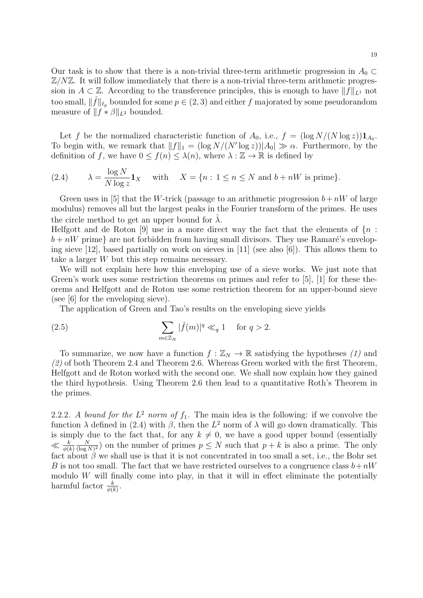Let f be the normalized characteristic function of  $A_0$ , i.e.,  $f = (\log N/(N \log z)) \mathbf{1}_{A_0}$ . To begin with, we remark that  $||f||_1 = (\log N/(N' \log z))|A_0| \gg \alpha$ . Furthermore, by the definition of f, we have  $0 \le f(n) \le \lambda(n)$ , where  $\lambda : \mathbb{Z} \to \mathbb{R}$  is defined by

(2.4) 
$$
\lambda = \frac{\log N}{N \log z} \mathbf{1}_X \quad \text{with} \quad X = \{n : 1 \le n \le N \text{ and } b + nW \text{ is prime}\}.
$$

Green uses in [5] that the W-trick (passage to an arithmetic progression  $b+nW$  of large modulus) removes all but the largest peaks in the Fourier transform of the primes. He uses the circle method to get an upper bound for  $\lambda$ .

Helfgott and de Roton [9] use in a more direct way the fact that the elements of  $\{n:$  $b + nW$  prime} are not forbidden from having small divisors. They use Ramaré's enveloping sieve  $[12]$ , based partially on work on sieves in  $[11]$  (see also  $[6]$ ). This allows them to take a larger W but this step remains necessary.

We will not explain here how this enveloping use of a sieve works. We just note that Green's work uses some restriction theorems on primes and refer to [5], [1] for these theorems and Helfgott and de Roton use some restriction theorem for an upper-bound sieve (see [6] for the enveloping sieve).

The application of Green and Tao's results on the enveloping sieve yields

(2.5) 
$$
\sum_{m \in \mathbb{Z}_N} |\widehat{f}(m)|^q \ll_q 1 \quad \text{for } q > 2.
$$

To summarize, we now have a function  $f : \mathbb{Z}_N \to \mathbb{R}$  satisfying the hypotheses (1) and  $(2)$  of both Theorem 2.4 and Theorem 2.6. Whereas Green worked with the first Theorem, Helfgott and de Roton worked with the second one. We shall now explain how they gained the third hypothesis. Using Theorem 2.6 then lead to a quantitative Roth's Theorem in the primes.

2.2.2. A bound for the  $L^2$  norm of  $f_1$ . The main idea is the following: if we convolve the function  $\lambda$  defined in (2.4) with  $\beta$ , then the  $L^2$  norm of  $\lambda$  will go down dramatically. This is simply due to the fact that, for any  $k \neq 0$ , we have a good upper bound (essentially  $\ll \frac{k}{\phi(k)}$ N  $\frac{N}{(\log N)^2}$  on the number of primes  $p \leq N$  such that  $p + k$  is also a prime. The only fact about  $\beta$  we shall use is that it is not concentrated in too small a set, i.e., the Bohr set B is not too small. The fact that we have restricted ourselves to a congruence class  $b+nW$ modulo  $W$  will finally come into play, in that it will in effect eliminate the potentially harmful factor  $\frac{k}{\phi(k)}$ .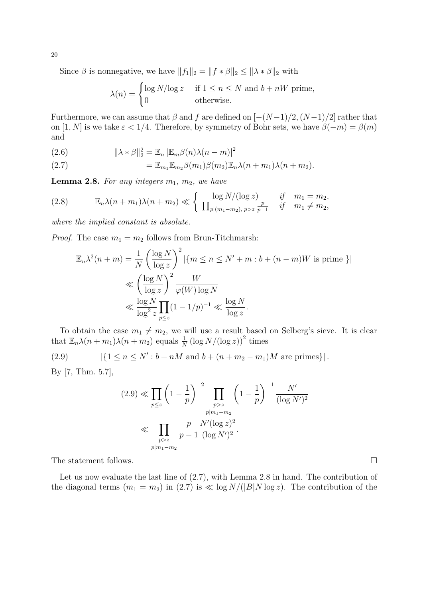Since  $\beta$  is nonnegative, we have  $||f_1||_2 = ||f * \beta||_2 \le ||\lambda * \beta||_2$  with

$$
\lambda(n) = \begin{cases} \log N/\log z & \text{if } 1 \le n \le N \text{ and } b + nW \text{ prime,} \\ 0 & \text{otherwise.} \end{cases}
$$

Furthermore, we can assume that  $\beta$  and f are defined on  $[-(N-1)/2,(N-1)/2]$  rather that on [1, N] is we take  $\varepsilon < 1/4$ . Therefore, by symmetry of Bohr sets, we have  $\beta(-m) = \beta(m)$ and

(2.6) 
$$
\|\lambda * \beta\|_2^2 = \mathbb{E}_n |\mathbb{E}_m \beta(n)\lambda(n-m)|^2
$$

(2.7) 
$$
= \mathbb{E}_{m_1} \mathbb{E}_{m_2} \beta(m_1) \beta(m_2) \mathbb{E}_n \lambda(n + m_1) \lambda(n + m_2).
$$

**Lemma 2.8.** For any integers  $m_1$ ,  $m_2$ , we have

(2.8) 
$$
\mathbb{E}_n \lambda(n + m_1) \lambda(n + m_2) \ll \left\{ \frac{\log N/(\log z)}{\prod_{p | (m_1 - m_2), p > z} \frac{p}{p - 1}} \quad \text{if} \quad m_1 = m_2, \right.
$$

where the implied constant is absolute.

*Proof.* The case  $m_1 = m_2$  follows from Brun-Titchmarsh:

$$
\mathbb{E}_n \lambda^2(n+m) = \frac{1}{N} \left( \frac{\log N}{\log z} \right)^2 |\{m \le n \le N' + m : b + (n-m)W \text{ is prime }\}|
$$
  
\$\le \left( \frac{\log N}{\log z} \right)^2 \frac{W}{\varphi(W) \log N}\$  
\$\le \frac{\log N}{\log^2 z} \prod\_{p \le z} (1 - 1/p)^{-1} \le \frac{\log N}{\log z}.

To obtain the case  $m_1 \neq m_2$ , we will use a result based on Selberg's sieve. It is clear that  $\mathbb{E}_n \lambda(n+m_1)\lambda(n+m_2)$  equals  $\frac{1}{N} (\log N/(\log z))^2$  times

(2.9)  $|\{1 \le n \le N': b+nM \text{ and } b+(n+m_2-m_1)M \text{ are primes}\}|.$ 

By [7, Thm. 5.7],

$$
(2.9) \ll \prod_{p \le z} \left(1 - \frac{1}{p}\right)^{-2} \prod_{\substack{p > z \\ p | m_1 - m_2}} \left(1 - \frac{1}{p}\right)^{-1} \frac{N'}{(\log N')^2}
$$
  

$$
\ll \prod_{\substack{p > z \\ p | m_1 - m_2}} \frac{p}{p - 1} \frac{N'(\log z)^2}{(\log N')^2}.
$$

The statement follows.

Let us now evaluate the last line of (2.7), with Lemma 2.8 in hand. The contribution of the diagonal terms  $(m_1 = m_2)$  in  $(2.7)$  is  $\ll \log N/(|B|N \log z)$ . The contribution of the

20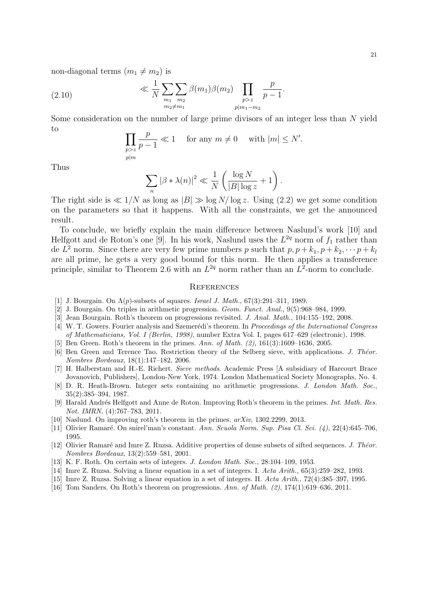non-diagonal terms  $(m_1 \neq m_2)$  is

(2.10) 
$$
\ll \frac{1}{N} \sum_{\substack{m_1 \ m_2 \ m_3 \neq m_1}} \beta(m_1) \beta(m_2) \prod_{\substack{p > z \ p | m_1 - m_2}} \frac{p}{p - 1}.
$$

Some consideration on the number of large prime divisors of an integer less than N yield to

$$
\prod_{\substack{p>z\\p|m}}\frac{p}{p-1}\ll 1\quad\text{ for any }m\neq 0\quad\text{ with }|m|\leq N'.
$$

Thus

$$
\sum_{n} |\beta * \lambda(n)|^2 \ll \frac{1}{N} \left( \frac{\log N}{|B| \log z} + 1 \right).
$$

The right side is  $\ll 1/N$  as long as  $|B| \gg \log N/\log z$ . Using (2.2) we get some condition on the parameters so that it happens. With all the constraints, we get the announced result.

To conclude, we briefly explain the main difference between Naslund's work [10] and Helfgott and de Roton's one [9]. In his work, Naslund uses the  $L^{2q}$  norm of  $f_1$  rather than de  $L^2$  norm. Since there are very few prime numbers p such that  $p, p + k_1, p + k_2, \dots, p + k_l$ are all prime, he gets a very good bound for this norm. He then applies a transference principle, similar to Theorem 2.6 with an  $L^{2q}$  norm rather than an  $L^2$ -norm to conclude.

### **REFERENCES**

- [1] J. Bourgain. On  $\Lambda(p)$ -subsets of squares. Israel J. Math., 67(3):291–311, 1989.
- [2] J. Bourgain. On triples in arithmetic progression. Geom. Funct. Anal., 9(5):968–984, 1999.
- [3] Jean Bourgain. Roth's theorem on progressions revisited. J. Anal. Math., 104:155–192, 2008.
- [4] W. T. Gowers. Fourier analysis and Szemerédi's theorem. In Proceedings of the International Congress of Mathematicians, Vol. I (Berlin, 1998), number Extra Vol. I, pages 617–629 (electronic), 1998.
- [5] Ben Green. Roth's theorem in the primes. Ann. of Math. (2), 161(3):1609–1636, 2005.
- [6] Ben Green and Terence Tao. Restriction theory of the Selberg sieve, with applications. J. Theor. Nombres Bordeaux, 18(1):147–182, 2006.
- [7] H. Halberstam and H.-E. Richert. Sieve methods. Academic Press [A subsidiary of Harcourt Brace Jovanovich, Publishers], London-New York, 1974. London Mathematical Society Monographs, No. 4.
- [8] D. R. Heath-Brown. Integer sets containing no arithmetic progressions. J. London Math. Soc., 35(2):385–394, 1987.
- [9] Harald Andrés Helfgott and Anne de Roton. Improving Roth's theorem in the primes. Int. Math. Res. Not. IMRN, (4):767–783, 2011.
- [10] Naslund. On improving roth's theorem in the primes. arXiv, 1302.2299, 2013.
- [11] Olivier Ramaré. On snirel'man's constant. Ann. Scuola Norm. Sup. Pisa Cl. Sci. (4), 22(4):645–706, 1995.
- [12] Olivier Ramaré and Imre Z. Ruzsa. Additive properties of dense subsets of sifted sequences. J. Théor. Nombres Bordeaux, 13(2):559–581, 2001.
- [13] K. F. Roth. On certain sets of integers. J. London Math. Soc., 28:104–109, 1953.
- [14] Imre Z. Ruzsa. Solving a linear equation in a set of integers. I. Acta Arith., 65(3):259–282, 1993.
- [15] Imre Z. Ruzsa. Solving a linear equation in a set of integers. II. Acta Arith., 72(4):385–397, 1995.
- [16] Tom Sanders. On Roth's theorem on progressions. Ann. of Math. (2), 174(1):619–636, 2011.